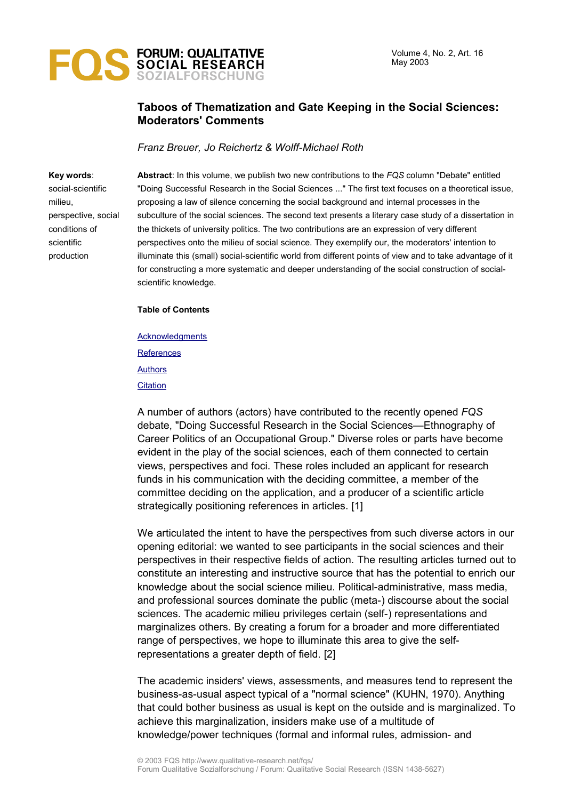

# **Taboos of Thematization and Gate Keeping in the Social Sciences: Moderators' Comments**

*Franz Breuer, Jo Reichertz & Wolff-Michael Roth*

#### **Key words**:

social-scientific milieu, perspective, social conditions of scientific production

**Abstract**: In this volume, we publish two new contributions to the *FQS* column "Debate" entitled "Doing Successful Research in the Social Sciences ..." The first text focuses on a theoretical issue, proposing a law of silence concerning the social background and internal processes in the subculture of the social sciences. The second text presents a literary case study of a dissertation in the thickets of university politics. The two contributions are an expression of very different perspectives onto the milieu of social science. They exemplify our, the moderators' intention to illuminate this (small) social-scientific world from different points of view and to take advantage of it for constructing a more systematic and deeper understanding of the social construction of socialscientific knowledge.

**Table of Contents**

**[Acknowledgments](#page-3-0) [References](#page-3-2) [Authors](#page-3-1) [Citation](#page-4-0)** 

A number of authors (actors) have contributed to the recently opened *FQS* debate, "Doing Successful Research in the Social Sciences—Ethnography of Career Politics of an Occupational Group." Diverse roles or parts have become evident in the play of the social sciences, each of them connected to certain views, perspectives and foci. These roles included an applicant for research funds in his communication with the deciding committee, a member of the committee deciding on the application, and a producer of a scientific article strategically positioning references in articles. [1]

We articulated the intent to have the perspectives from such diverse actors in our opening editorial: we wanted to see participants in the social sciences and their perspectives in their respective fields of action. The resulting articles turned out to constitute an interesting and instructive source that has the potential to enrich our knowledge about the social science milieu. Political-administrative, mass media, and professional sources dominate the public (meta-) discourse about the social sciences. The academic milieu privileges certain (self-) representations and marginalizes others. By creating a forum for a broader and more differentiated range of perspectives, we hope to illuminate this area to give the selfrepresentations a greater depth of field. [2]

The academic insiders' views, assessments, and measures tend to represent the business-as-usual aspect typical of a "normal science" (KUHN, 1970). Anything that could bother business as usual is kept on the outside and is marginalized. To achieve this marginalization, insiders make use of a multitude of knowledge/power techniques (formal and informal rules, admission- and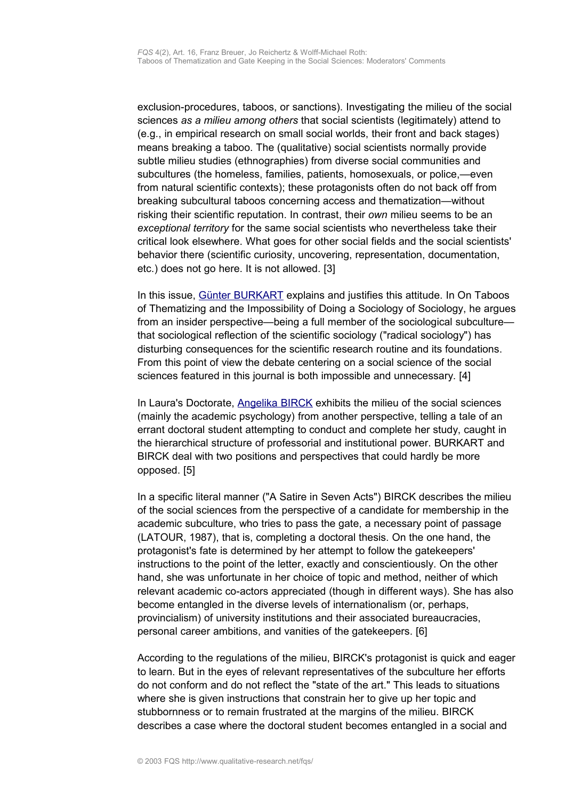exclusion-procedures, taboos, or sanctions). Investigating the milieu of the social sciences *as a milieu among others* that social scientists (legitimately) attend to (e.g., in empirical research on small social worlds, their front and back stages) means breaking a taboo. The (qualitative) social scientists normally provide subtle milieu studies (ethnographies) from diverse social communities and subcultures (the homeless, families, patients, homosexuals, or police,—even from natural scientific contexts); these protagonists often do not back off from breaking subcultural taboos concerning access and thematization—without risking their scientific reputation. In contrast, their *own* milieu seems to be an *exceptional territory* for the same social scientists who nevertheless take their critical look elsewhere. What goes for other social fields and the social scientists' behavior there (scientific curiosity, uncovering, representation, documentation, etc.) does not go here. It is not allowed. [3]

In this issue, [Günter BURKART](http://www.qualitative-research.net/fqs-texte/2-03/2-03burkart-e.htm) explains and justifies this attitude. In On Taboos of Thematizing and the Impossibility of Doing a Sociology of Sociology, he argues from an insider perspective—being a full member of the sociological subculture that sociological reflection of the scientific sociology ("radical sociology") has disturbing consequences for the scientific research routine and its foundations. From this point of view the debate centering on a social science of the social sciences featured in this journal is both impossible and unnecessary. [4]

In Laura's Doctorate, [Angelika BIRCK](http://www.qualitative-research.net/fqs-texte/2-03/2-03birck-e.htm) exhibits the milieu of the social sciences (mainly the academic psychology) from another perspective, telling a tale of an errant doctoral student attempting to conduct and complete her study, caught in the hierarchical structure of professorial and institutional power. BURKART and BIRCK deal with two positions and perspectives that could hardly be more opposed. [5]

In a specific literal manner ("A Satire in Seven Acts") BIRCK describes the milieu of the social sciences from the perspective of a candidate for membership in the academic subculture, who tries to pass the gate, a necessary point of passage (LATOUR, 1987), that is, completing a doctoral thesis. On the one hand, the protagonist's fate is determined by her attempt to follow the gatekeepers' instructions to the point of the letter, exactly and conscientiously. On the other hand, she was unfortunate in her choice of topic and method, neither of which relevant academic co-actors appreciated (though in different ways). She has also become entangled in the diverse levels of internationalism (or, perhaps, provincialism) of university institutions and their associated bureaucracies, personal career ambitions, and vanities of the gatekeepers. [6]

According to the regulations of the milieu, BIRCK's protagonist is quick and eager to learn. But in the eyes of relevant representatives of the subculture her efforts do not conform and do not reflect the "state of the art." This leads to situations where she is given instructions that constrain her to give up her topic and stubbornness or to remain frustrated at the margins of the milieu. BIRCK describes a case where the doctoral student becomes entangled in a social and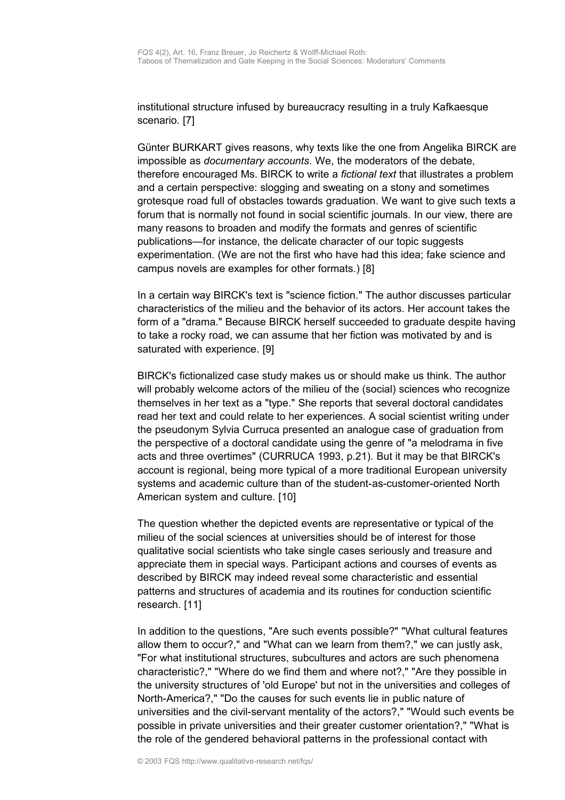institutional structure infused by bureaucracy resulting in a truly Kafkaesque scenario. [7]

Günter BURKART gives reasons, why texts like the one from Angelika BIRCK are impossible as *documentary accounts*. We, the moderators of the debate, therefore encouraged Ms. BIRCK to write a *fictional text* that illustrates a problem and a certain perspective: slogging and sweating on a stony and sometimes grotesque road full of obstacles towards graduation. We want to give such texts a forum that is normally not found in social scientific journals. In our view, there are many reasons to broaden and modify the formats and genres of scientific publications—for instance, the delicate character of our topic suggests experimentation. (We are not the first who have had this idea; fake science and campus novels are examples for other formats.) [8]

In a certain way BIRCK's text is "science fiction." The author discusses particular characteristics of the milieu and the behavior of its actors. Her account takes the form of a "drama." Because BIRCK herself succeeded to graduate despite having to take a rocky road, we can assume that her fiction was motivated by and is saturated with experience. [9]

BIRCK's fictionalized case study makes us or should make us think. The author will probably welcome actors of the milieu of the (social) sciences who recognize themselves in her text as a "type." She reports that several doctoral candidates read her text and could relate to her experiences. A social scientist writing under the pseudonym Sylvia Curruca presented an analogue case of graduation from the perspective of a doctoral candidate using the genre of "a melodrama in five acts and three overtimes" (CURRUCA 1993, p.21). But it may be that BIRCK's account is regional, being more typical of a more traditional European university systems and academic culture than of the student-as-customer-oriented North American system and culture. [10]

The question whether the depicted events are representative or typical of the milieu of the social sciences at universities should be of interest for those qualitative social scientists who take single cases seriously and treasure and appreciate them in special ways. Participant actions and courses of events as described by BIRCK may indeed reveal some characteristic and essential patterns and structures of academia and its routines for conduction scientific research. [11]

In addition to the questions, "Are such events possible?" "What cultural features allow them to occur?," and "What can we learn from them?," we can justly ask, "For what institutional structures, subcultures and actors are such phenomena characteristic?," "Where do we find them and where not?," "Are they possible in the university structures of 'old Europe' but not in the universities and colleges of North-America?," "Do the causes for such events lie in public nature of universities and the civil-servant mentality of the actors?," "Would such events be possible in private universities and their greater customer orientation?," "What is the role of the gendered behavioral patterns in the professional contact with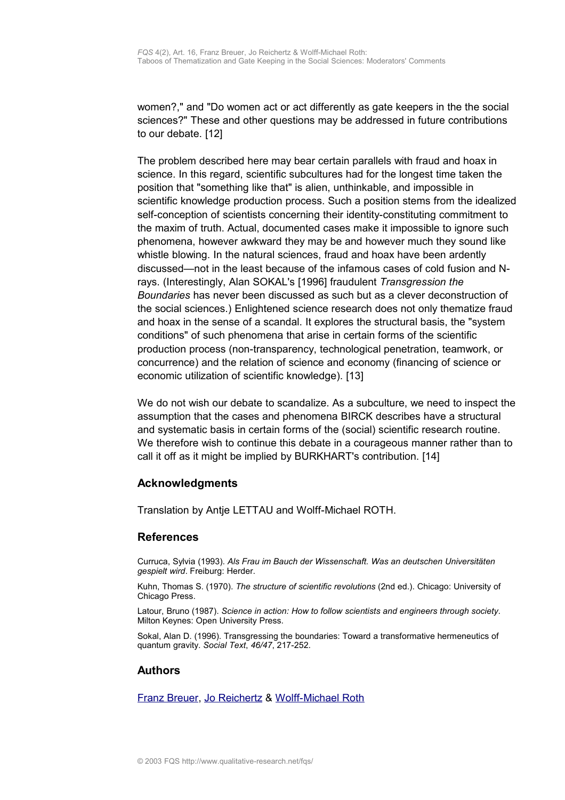women?," and "Do women act or act differently as gate keepers in the the social sciences?" These and other questions may be addressed in future contributions to our debate. [12]

The problem described here may bear certain parallels with fraud and hoax in science. In this regard, scientific subcultures had for the longest time taken the position that "something like that" is alien, unthinkable, and impossible in scientific knowledge production process. Such a position stems from the idealized self-conception of scientists concerning their identity-constituting commitment to the maxim of truth. Actual, documented cases make it impossible to ignore such phenomena, however awkward they may be and however much they sound like whistle blowing. In the natural sciences, fraud and hoax have been ardently discussed—not in the least because of the infamous cases of cold fusion and Nrays. (Interestingly, Alan SOKAL's [1996] fraudulent *Transgression the Boundaries* has never been discussed as such but as a clever deconstruction of the social sciences.) Enlightened science research does not only thematize fraud and hoax in the sense of a scandal. It explores the structural basis, the "system conditions" of such phenomena that arise in certain forms of the scientific production process (non-transparency, technological penetration, teamwork, or concurrence) and the relation of science and economy (financing of science or economic utilization of scientific knowledge). [13]

We do not wish our debate to scandalize. As a subculture, we need to inspect the assumption that the cases and phenomena BIRCK describes have a structural and systematic basis in certain forms of the (social) scientific research routine. We therefore wish to continue this debate in a courageous manner rather than to call it off as it might be implied by BURKHART's contribution. [14]

## <span id="page-3-0"></span>**Acknowledgments**

Translation by Antje LETTAU and Wolff-Michael ROTH.

### <span id="page-3-2"></span>**References**

Curruca, Sylvia (1993). *Als Frau im Bauch der Wissenschaft. Was an deutschen Universitäten gespielt wird*. Freiburg: Herder.

Kuhn, Thomas S. (1970). *The structure of scientific revolutions* (2nd ed.). Chicago: University of Chicago Press.

Latour, Bruno (1987). *Science in action: How to follow scientists and engineers through society*. Milton Keynes: Open University Press.

Sokal, Alan D. (1996). Transgressing the boundaries: Toward a transformative hermeneutics of quantum gravity. *Social Text*, *46/47*, 217-252.

## <span id="page-3-1"></span>**Authors**

[Franz Breuer,](http://www.qualitative-research.net/fqs/impressum/breuer-e.htm) [Jo Reichertz](http://www.qualitative-research.net/fqs/impressum/reichertz-e.htm) & [Wolff-Michael Roth](http://www.qualitative-research.net/fqs/impressum/roth-e.htm)